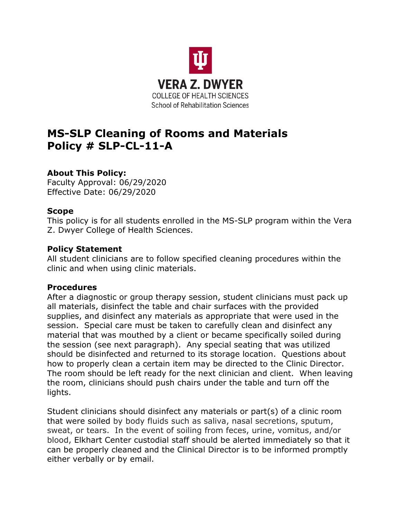

# **MS-SLP Cleaning of Rooms and Materials Policy # SLP-CL-11-A**

# **About This Policy:**

Faculty Approval: 06/29/2020 Effective Date: 06/29/2020

### **Scope**

This policy is for all students enrolled in the MS-SLP program within the Vera Z. Dwyer College of Health Sciences.

### **Policy Statement**

All student clinicians are to follow specified cleaning procedures within the clinic and when using clinic materials.

# **Procedures**

After a diagnostic or group therapy session, student clinicians must pack up all materials, disinfect the table and chair surfaces with the provided supplies, and disinfect any materials as appropriate that were used in the session. Special care must be taken to carefully clean and disinfect any material that was mouthed by a client or became specifically soiled during the session (see next paragraph). Any special seating that was utilized should be disinfected and returned to its storage location. Questions about how to properly clean a certain item may be directed to the Clinic Director. The room should be left ready for the next clinician and client. When leaving the room, clinicians should push chairs under the table and turn off the lights.

Student clinicians should disinfect any materials or part(s) of a clinic room that were soiled by body fluids such as saliva, nasal secretions, sputum, sweat, or tears. In the event of soiling from feces, urine, vomitus, and/or blood, Elkhart Center custodial staff should be alerted immediately so that it can be properly cleaned and the Clinical Director is to be informed promptly either verbally or by email.